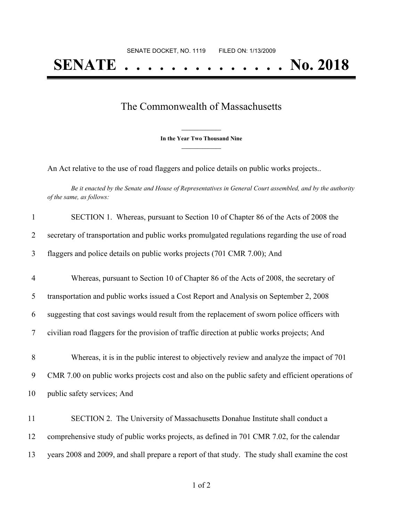## The Commonwealth of Massachusetts

**\_\_\_\_\_\_\_\_\_\_\_\_\_\_\_ In the Year Two Thousand Nine \_\_\_\_\_\_\_\_\_\_\_\_\_\_\_**

An Act relative to the use of road flaggers and police details on public works projects..

Be it enacted by the Senate and House of Representatives in General Court assembled, and by the authority *of the same, as follows:*

| $\mathbf{1}$   | SECTION 1. Whereas, pursuant to Section 10 of Chapter 86 of the Acts of 2008 the                 |
|----------------|--------------------------------------------------------------------------------------------------|
| 2              | secretary of transportation and public works promulgated regulations regarding the use of road   |
| 3              | flaggers and police details on public works projects (701 CMR 7.00); And                         |
| $\overline{4}$ | Whereas, pursuant to Section 10 of Chapter 86 of the Acts of 2008, the secretary of              |
| 5              | transportation and public works issued a Cost Report and Analysis on September 2, 2008           |
| 6              | suggesting that cost savings would result from the replacement of sworn police officers with     |
| $\tau$         | civilian road flaggers for the provision of traffic direction at public works projects; And      |
| $8\,$          | Whereas, it is in the public interest to objectively review and analyze the impact of 701        |
| 9              | CMR 7.00 on public works projects cost and also on the public safety and efficient operations of |
| 10             | public safety services; And                                                                      |
| 11             | SECTION 2. The University of Massachusetts Donahue Institute shall conduct a                     |
| 12             | comprehensive study of public works projects, as defined in 701 CMR 7.02, for the calendar       |
| 13             | years 2008 and 2009, and shall prepare a report of that study. The study shall examine the cost  |